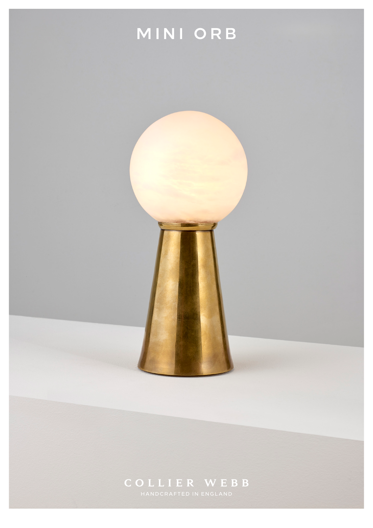